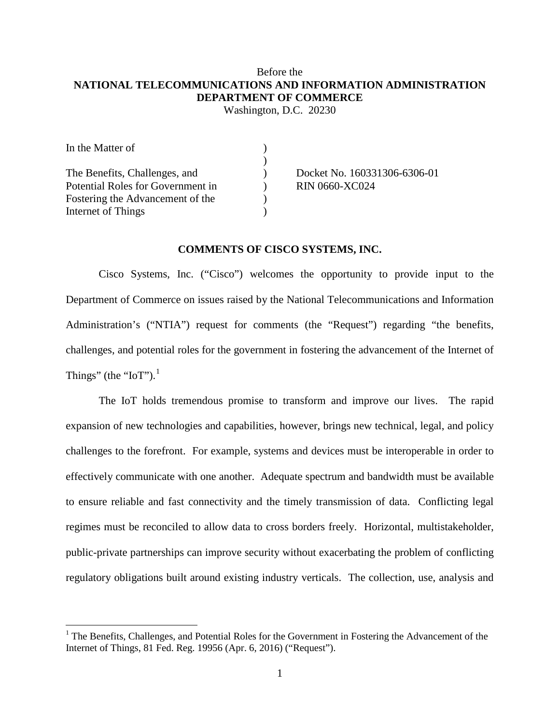# Before the **NATIONAL TELECOMMUNICATIONS AND INFORMATION ADMINISTRATION DEPARTMENT OF COMMERCE**

Washington, D.C. 20230

| In the Matter of                  |                              |
|-----------------------------------|------------------------------|
|                                   |                              |
| The Benefits, Challenges, and     | Docket No. 160331306-6306-01 |
| Potential Roles for Government in | <b>RIN 0660-XC024</b>        |
| Fostering the Advancement of the  |                              |
| Internet of Things                |                              |

### **COMMENTS OF CISCO SYSTEMS, INC.**

Cisco Systems, Inc. ("Cisco") welcomes the opportunity to provide input to the Department of Commerce on issues raised by the National Telecommunications and Information Administration's ("NTIA") request for comments (the "Request") regarding "the benefits, challenges, and potential roles for the government in fostering the advancement of the Internet of Things" (the "IoT"). $<sup>1</sup>$  $<sup>1</sup>$  $<sup>1</sup>$ </sup>

The IoT holds tremendous promise to transform and improve our lives. The rapid expansion of new technologies and capabilities, however, brings new technical, legal, and policy challenges to the forefront. For example, systems and devices must be interoperable in order to effectively communicate with one another. Adequate spectrum and bandwidth must be available to ensure reliable and fast connectivity and the timely transmission of data. Conflicting legal regimes must be reconciled to allow data to cross borders freely. Horizontal, multistakeholder, public-private partnerships can improve security without exacerbating the problem of conflicting regulatory obligations built around existing industry verticals. The collection, use, analysis and

<span id="page-0-0"></span><sup>&</sup>lt;sup>1</sup> The Benefits, Challenges, and Potential Roles for the Government in Fostering the Advancement of the Internet of Things, 81 Fed. Reg. 19956 (Apr. 6, 2016) ("Request").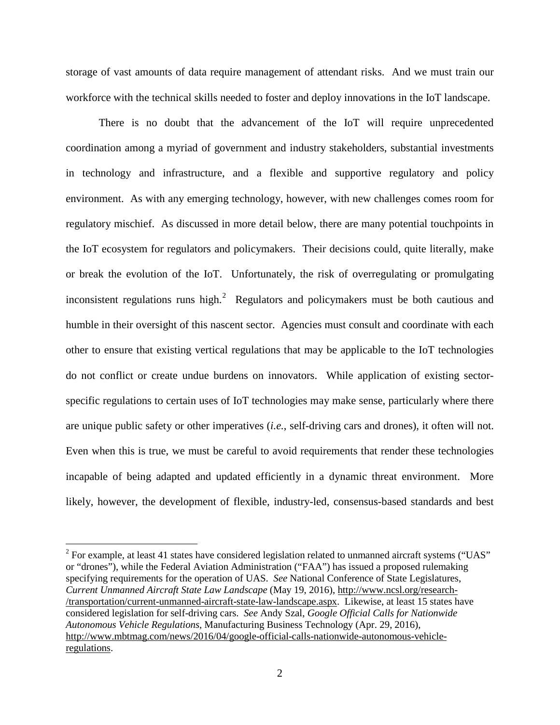storage of vast amounts of data require management of attendant risks. And we must train our workforce with the technical skills needed to foster and deploy innovations in the IoT landscape.

There is no doubt that the advancement of the IoT will require unprecedented coordination among a myriad of government and industry stakeholders, substantial investments in technology and infrastructure, and a flexible and supportive regulatory and policy environment. As with any emerging technology, however, with new challenges comes room for regulatory mischief. As discussed in more detail below, there are many potential touchpoints in the IoT ecosystem for regulators and policymakers. Their decisions could, quite literally, make or break the evolution of the IoT. Unfortunately, the risk of overregulating or promulgating inconsistent regulations runs high. $2$  Regulators and policymakers must be both cautious and humble in their oversight of this nascent sector. Agencies must consult and coordinate with each other to ensure that existing vertical regulations that may be applicable to the IoT technologies do not conflict or create undue burdens on innovators. While application of existing sectorspecific regulations to certain uses of IoT technologies may make sense, particularly where there are unique public safety or other imperatives (*i.e.*, self-driving cars and drones), it often will not. Even when this is true, we must be careful to avoid requirements that render these technologies incapable of being adapted and updated efficiently in a dynamic threat environment. More likely, however, the development of flexible, industry-led, consensus-based standards and best

<span id="page-1-0"></span><sup>&</sup>lt;sup>2</sup> For example, at least 41 states have considered legislation related to unmanned aircraft systems ("UAS" or "drones"), while the Federal Aviation Administration ("FAA") has issued a proposed rulemaking specifying requirements for the operation of UAS. *See* National Conference of State Legislatures, *Current Unmanned Aircraft State Law Landscape* (May 19, 2016), [http://www.ncsl.org/research-](http://www.ncsl.org/research/transportation/current-unmanned-aircraft-state-law-landscape.aspx) [/transportation/current-unmanned-aircraft-state-law-landscape.aspx.](http://www.ncsl.org/research/transportation/current-unmanned-aircraft-state-law-landscape.aspx) Likewise, at least 15 states have considered legislation for self-driving cars. *See* Andy Szal, *Google Official Calls for Nationwide Autonomous Vehicle Regulations*, Manufacturing Business Technology (Apr. 29, 2016), [http://www.mbtmag.com/news/2016/04/google-official-calls-nationwide-autonomous-vehicle](http://www.mbtmag.com/news/2016/04/google-official-calls-nationwide-autonomous-vehicle-regulations)[regulations.](http://www.mbtmag.com/news/2016/04/google-official-calls-nationwide-autonomous-vehicle-regulations)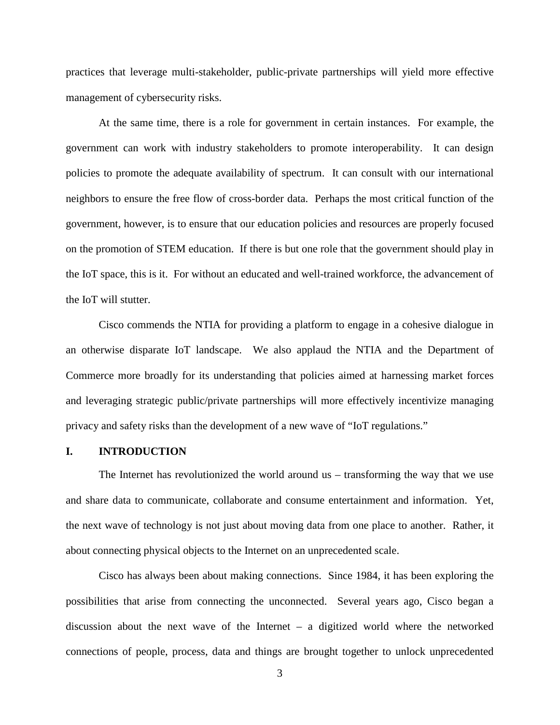practices that leverage multi-stakeholder, public-private partnerships will yield more effective management of cybersecurity risks.

At the same time, there is a role for government in certain instances. For example, the government can work with industry stakeholders to promote interoperability. It can design policies to promote the adequate availability of spectrum. It can consult with our international neighbors to ensure the free flow of cross-border data. Perhaps the most critical function of the government, however, is to ensure that our education policies and resources are properly focused on the promotion of STEM education. If there is but one role that the government should play in the IoT space, this is it. For without an educated and well-trained workforce, the advancement of the IoT will stutter.

Cisco commends the NTIA for providing a platform to engage in a cohesive dialogue in an otherwise disparate IoT landscape. We also applaud the NTIA and the Department of Commerce more broadly for its understanding that policies aimed at harnessing market forces and leveraging strategic public/private partnerships will more effectively incentivize managing privacy and safety risks than the development of a new wave of "IoT regulations."

#### **I. INTRODUCTION**

The Internet has revolutionized the world around us – transforming the way that we use and share data to communicate, collaborate and consume entertainment and information. Yet, the next wave of technology is not just about moving data from one place to another. Rather, it about connecting physical objects to the Internet on an unprecedented scale.

Cisco has always been about making connections. Since 1984, it has been exploring the possibilities that arise from connecting the unconnected. Several years ago, Cisco began a discussion about the next wave of the Internet – a digitized world where the networked connections of people, process, data and things are brought together to unlock unprecedented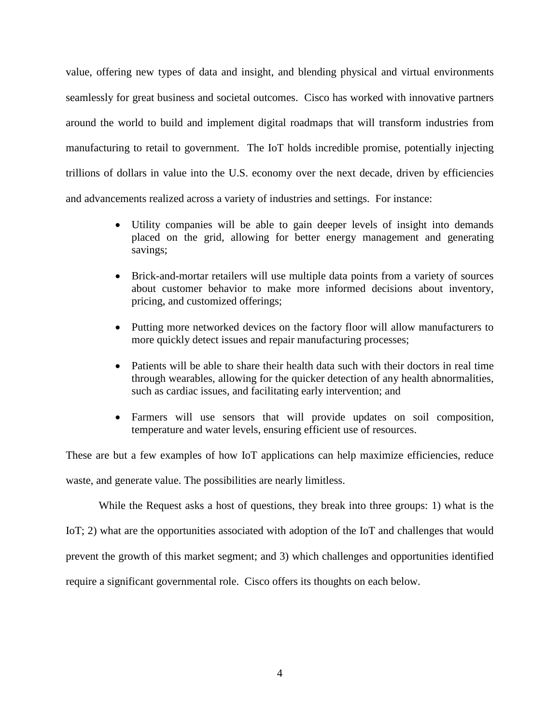value, offering new types of data and insight, and blending physical and virtual environments seamlessly for great business and societal outcomes. Cisco has worked with innovative partners around the world to build and implement digital roadmaps that will transform industries from manufacturing to retail to government. The IoT holds incredible promise, potentially injecting trillions of dollars in value into the U.S. economy over the next decade, driven by efficiencies and advancements realized across a variety of industries and settings. For instance:

- Utility companies will be able to gain deeper levels of insight into demands placed on the grid, allowing for better energy management and generating savings;
- Brick-and-mortar retailers will use multiple data points from a variety of sources about customer behavior to make more informed decisions about inventory, pricing, and customized offerings;
- Putting more networked devices on the factory floor will allow manufacturers to more quickly detect issues and repair manufacturing processes;
- Patients will be able to share their health data such with their doctors in real time through wearables, allowing for the quicker detection of any health abnormalities, such as cardiac issues, and facilitating early intervention; and
- Farmers will use sensors that will provide updates on soil composition, temperature and water levels, ensuring efficient use of resources.

These are but a few examples of how IoT applications can help maximize efficiencies, reduce waste, and generate value. The possibilities are nearly limitless.

While the Request asks a host of questions, they break into three groups: 1) what is the IoT; 2) what are the opportunities associated with adoption of the IoT and challenges that would prevent the growth of this market segment; and 3) which challenges and opportunities identified require a significant governmental role. Cisco offers its thoughts on each below.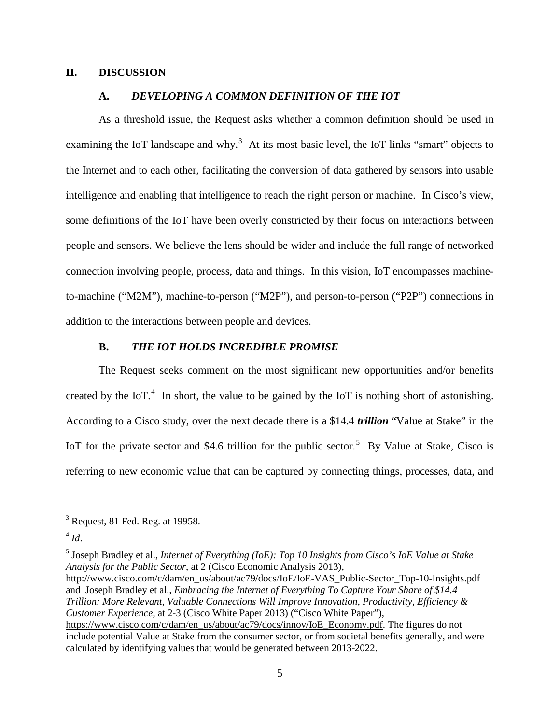### **II. DISCUSSION**

### **A.** *DEVELOPING A COMMON DEFINITION OF THE IOT*

As a threshold issue, the Request asks whether a common definition should be used in examining the IoT landscape and why.<sup>[3](#page-4-0)</sup> At its most basic level, the IoT links "smart" objects to the Internet and to each other, facilitating the conversion of data gathered by sensors into usable intelligence and enabling that intelligence to reach the right person or machine. In Cisco's view, some definitions of the IoT have been overly constricted by their focus on interactions between people and sensors. We believe the lens should be wider and include the full range of networked connection involving people, process, data and things. In this vision, IoT encompasses machineto-machine ("M2M"), machine-to-person ("M2P"), and person-to-person ("P2P") connections in addition to the interactions between people and devices.

### **B.** *THE IOT HOLDS INCREDIBLE PROMISE*

The Request seeks comment on the most significant new opportunities and/or benefits created by the IoT.<sup>[4](#page-4-1)</sup> In short, the value to be gained by the IoT is nothing short of astonishing. According to a Cisco study, over the next decade there is a \$14.4 *trillion* "Value at Stake" in the IoT for the private sector and \$4.6 trillion for the public sector.<sup>[5](#page-4-2)</sup> By Value at Stake, Cisco is referring to new economic value that can be captured by connecting things, processes, data, and

<span id="page-4-2"></span><sup>5</sup> Joseph Bradley et al., *Internet of Everything (IoE): Top 10 Insights from Cisco's IoE Value at Stake Analysis for the Public Sector*, at 2 (Cisco Economic Analysis 2013),

[http://www.cisco.com/c/dam/en\\_us/about/ac79/docs/IoE/IoE-VAS\\_Public-Sector\\_Top-10-Insights.pdf](http://www.cisco.com/c/dam/en_us/about/ac79/docs/IoE/IoE-VAS_Public-Sector_Top-10-Insights.pdf) and Joseph Bradley et al., *Embracing the Internet of Everything To Capture Your Share of \$14.4 Trillion: More Relevant, Valuable Connections Will Improve Innovation, Productivity, Efficiency & Customer Experience*, at 2-3 (Cisco White Paper 2013) ("Cisco White Paper"),

<span id="page-4-0"></span> $3$  Request, 81 Fed. Reg. at 19958.

<span id="page-4-1"></span> $4$  *Id.* 

[https://www.cisco.com/c/dam/en\\_us/about/ac79/docs/innov/IoE\\_Economy.pdf.](https://www.cisco.com/c/dam/en_us/about/ac79/docs/innov/IoE_Economy.pdf) The figures do not include potential Value at Stake from the consumer sector, or from societal benefits generally, and were calculated by identifying values that would be generated between 2013-2022.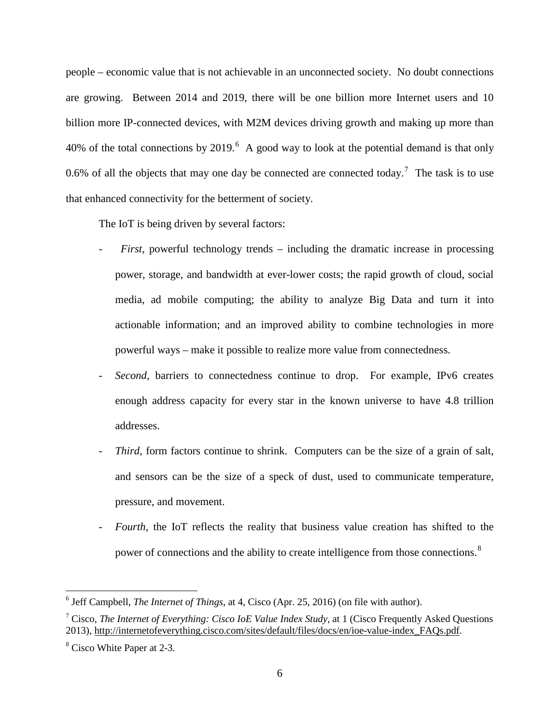people – economic value that is not achievable in an unconnected society. No doubt connections are growing. Between 2014 and 2019, there will be one billion more Internet users and 10 billion more IP-connected devices, with M2M devices driving growth and making up more than 40% of the total connections by 2019. $^6$  $^6$  A good way to look at the potential demand is that only 0.6% of all the objects that may one day be connected are connected today.<sup>[7](#page-5-1)</sup> The task is to use that enhanced connectivity for the betterment of society.

The IoT is being driven by several factors:

- *First*, powerful technology trends including the dramatic increase in processing power, storage, and bandwidth at ever-lower costs; the rapid growth of cloud, social media, ad mobile computing; the ability to analyze Big Data and turn it into actionable information; and an improved ability to combine technologies in more powerful ways – make it possible to realize more value from connectedness.
- Second, barriers to connectedness continue to drop. For example, IPv6 creates enough address capacity for every star in the known universe to have 4.8 trillion addresses.
- *Third*, form factors continue to shrink. Computers can be the size of a grain of salt, and sensors can be the size of a speck of dust, used to communicate temperature, pressure, and movement.
- *Fourth*, the IoT reflects the reality that business value creation has shifted to the power of connections and the ability to create intelligence from those connections.[8](#page-5-2)

<span id="page-5-0"></span> <sup>6</sup> Jeff Campbell, *The Internet of Things*, at 4, Cisco (Apr. 25, 2016) (on file with author).

<span id="page-5-1"></span><sup>7</sup> Cisco, *The Internet of Everything: Cisco IoE Value Index Study*, at 1 (Cisco Frequently Asked Questions 2013), [http://internetofeverything.cisco.com/sites/default/files/docs/en/ioe-value-index\\_FAQs.pdf.](http://internetofeverything.cisco.com/sites/default/files/docs/en/ioe-value-index_FAQs.pdf)

<span id="page-5-2"></span><sup>8</sup> Cisco White Paper at 2-3.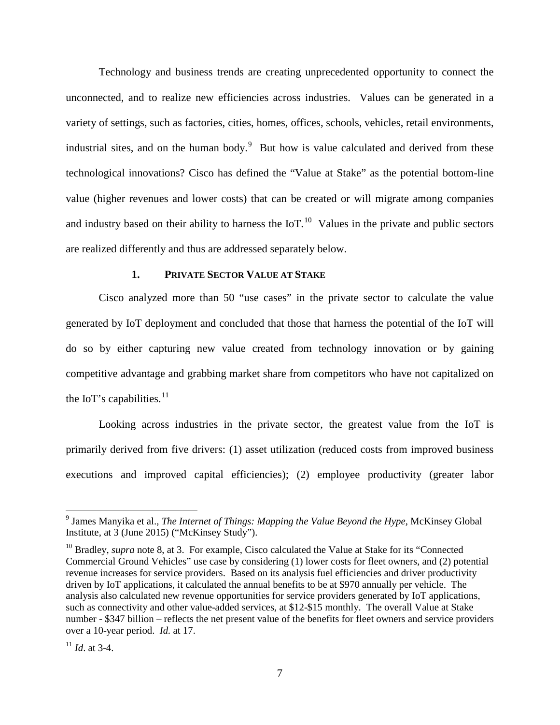Technology and business trends are creating unprecedented opportunity to connect the unconnected, and to realize new efficiencies across industries. Values can be generated in a variety of settings, such as factories, cities, homes, offices, schools, vehicles, retail environments, industrial sites, and on the human body. $9$  But how is value calculated and derived from these technological innovations? Cisco has defined the "Value at Stake" as the potential bottom-line value (higher revenues and lower costs) that can be created or will migrate among companies and industry based on their ability to harness the IoT.<sup>[10](#page-6-1)</sup> Values in the private and public sectors are realized differently and thus are addressed separately below.

# **1. PRIVATE SECTOR VALUE AT STAKE**

Cisco analyzed more than 50 "use cases" in the private sector to calculate the value generated by IoT deployment and concluded that those that harness the potential of the IoT will do so by either capturing new value created from technology innovation or by gaining competitive advantage and grabbing market share from competitors who have not capitalized on the IoT's capabilities. $11$ 

Looking across industries in the private sector, the greatest value from the IoT is primarily derived from five drivers: (1) asset utilization (reduced costs from improved business executions and improved capital efficiencies); (2) employee productivity (greater labor

<span id="page-6-0"></span> <sup>9</sup> James Manyika et al., *The Internet of Things: Mapping the Value Beyond the Hype*, McKinsey Global Institute, at 3 (June 2015) ("McKinsey Study").

<span id="page-6-1"></span><sup>&</sup>lt;sup>10</sup> Bradley, *supra* note 8, at 3. For example, Cisco calculated the Value at Stake for its "Connected" Commercial Ground Vehicles" use case by considering (1) lower costs for fleet owners, and (2) potential revenue increases for service providers. Based on its analysis fuel efficiencies and driver productivity driven by IoT applications, it calculated the annual benefits to be at \$970 annually per vehicle. The analysis also calculated new revenue opportunities for service providers generated by IoT applications, such as connectivity and other value-added services, at \$12-\$15 monthly. The overall Value at Stake number - \$347 billion – reflects the net present value of the benefits for fleet owners and service providers over a 10-year period. *Id.* at 17.

<span id="page-6-2"></span> $11$  *Id.* at 3-4.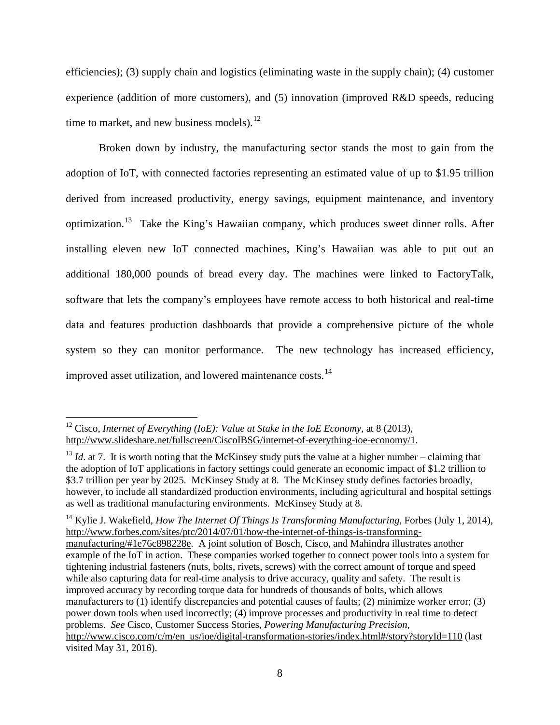efficiencies); (3) supply chain and logistics (eliminating waste in the supply chain); (4) customer experience (addition of more customers), and (5) innovation (improved R&D speeds, reducing time to market, and new business models).  $12$ 

Broken down by industry, the manufacturing sector stands the most to gain from the adoption of IoT, with connected factories representing an estimated value of up to \$1.95 trillion derived from increased productivity, energy savings, equipment maintenance, and inventory optimization.[13](#page-7-1) Take the King's Hawaiian company, which produces sweet dinner rolls. After installing eleven new IoT connected machines, King's Hawaiian was able to put out an additional 180,000 pounds of bread every day. The machines were linked to FactoryTalk, software that lets the company's employees have remote access to both historical and real-time data and features production dashboards that provide a comprehensive picture of the whole system so they can monitor performance. The new technology has increased efficiency, improved asset utilization, and lowered maintenance costs.<sup>[14](#page-7-2)</sup>

<span id="page-7-2"></span><sup>14</sup> Kylie J. Wakefield, *How The Internet Of Things Is Transforming Manufacturing*, Forbes (July 1, 2014), [http://www.forbes.com/sites/ptc/2014/07/01/how-the-internet-of-things-is-transforming](http://www.forbes.com/sites/ptc/2014/07/01/how-the-internet-of-things-is-transforming-manufacturing/#1e76c898228e)[manufacturing/#1e76c898228e.](http://www.forbes.com/sites/ptc/2014/07/01/how-the-internet-of-things-is-transforming-manufacturing/#1e76c898228e) A joint solution of Bosch, Cisco, and Mahindra illustrates another example of the IoT in action. These companies worked together to connect power tools into a system for tightening industrial fasteners (nuts, bolts, rivets, screws) with the correct amount of torque and speed while also capturing data for real-time analysis to drive accuracy, quality and safety. The result is improved accuracy by recording torque data for hundreds of thousands of bolts, which allows manufacturers to (1) identify discrepancies and potential causes of faults; (2) minimize worker error; (3) power down tools when used incorrectly; (4) improve processes and productivity in real time to detect problems. *See* Cisco, Customer Success Stories, *Powering Manufacturing Precision*, [http://www.cisco.com/c/m/en\\_us/ioe/digital-transformation-stories/index.html#/story?storyId=110](http://www.cisco.com/c/m/en_us/ioe/digital-transformation-stories/index.html#/story?storyId=110) (last visited May 31, 2016).

<span id="page-7-0"></span><sup>&</sup>lt;sup>12</sup> Cisco, *Internet of Everything (IoE): Value at Stake in the IoE Economy*, at 8 (2013), [http://www.slideshare.net/fullscreen/CiscoIBSG/internet-of-everything-ioe-economy/1.](http://www.slideshare.net/fullscreen/CiscoIBSG/internet-of-everything-ioe-economy/1)

<span id="page-7-1"></span><sup>&</sup>lt;sup>13</sup> *Id.* at 7. It is worth noting that the McKinsey study puts the value at a higher number – claiming that the adoption of IoT applications in factory settings could generate an economic impact of \$1.2 trillion to \$3.7 trillion per year by 2025. McKinsey Study at 8. The McKinsey study defines factories broadly, however, to include all standardized production environments, including agricultural and hospital settings as well as traditional manufacturing environments. McKinsey Study at 8.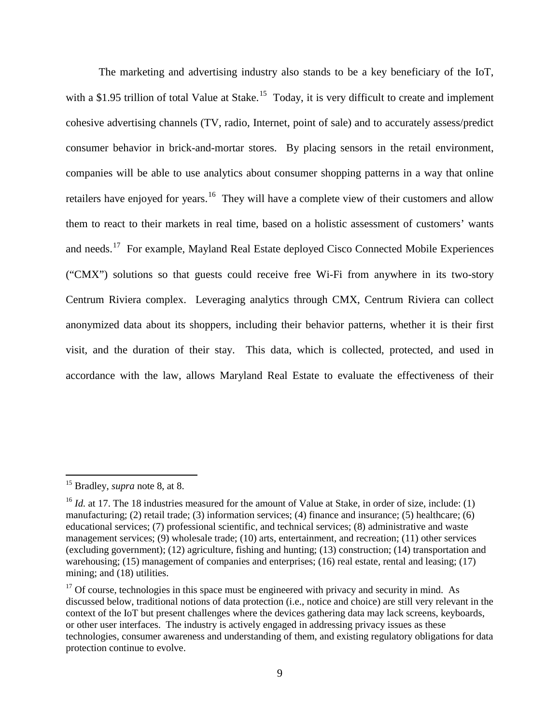The marketing and advertising industry also stands to be a key beneficiary of the IoT, with a \$1.95 trillion of total Value at Stake.<sup>15</sup> Today, it is very difficult to create and implement cohesive advertising channels (TV, radio, Internet, point of sale) and to accurately assess/predict consumer behavior in brick-and-mortar stores. By placing sensors in the retail environment, companies will be able to use analytics about consumer shopping patterns in a way that online retailers have enjoyed for years.<sup>16</sup> They will have a complete view of their customers and allow them to react to their markets in real time, based on a holistic assessment of customers' wants and needs.[17](#page-8-2) For example, Mayland Real Estate deployed Cisco Connected Mobile Experiences ("CMX") solutions so that guests could receive free Wi-Fi from anywhere in its two-story Centrum Riviera complex. Leveraging analytics through CMX, Centrum Riviera can collect anonymized data about its shoppers, including their behavior patterns, whether it is their first visit, and the duration of their stay. This data, which is collected, protected, and used in accordance with the law, allows Maryland Real Estate to evaluate the effectiveness of their

<span id="page-8-0"></span> <sup>15</sup> Bradley, *supra* note 8, at 8.

<span id="page-8-1"></span><sup>&</sup>lt;sup>16</sup> *Id.* at 17. The 18 industries measured for the amount of Value at Stake, in order of size, include: (1) manufacturing; (2) retail trade; (3) information services; (4) finance and insurance; (5) healthcare; (6) educational services; (7) professional scientific, and technical services; (8) administrative and waste management services; (9) wholesale trade; (10) arts, entertainment, and recreation; (11) other services (excluding government); (12) agriculture, fishing and hunting; (13) construction; (14) transportation and warehousing; (15) management of companies and enterprises; (16) real estate, rental and leasing; (17) mining; and (18) utilities.

<span id="page-8-2"></span> $17$  Of course, technologies in this space must be engineered with privacy and security in mind. As discussed below, traditional notions of data protection (i.e., notice and choice) are still very relevant in the context of the IoT but present challenges where the devices gathering data may lack screens, keyboards, or other user interfaces. The industry is actively engaged in addressing privacy issues as these technologies, consumer awareness and understanding of them, and existing regulatory obligations for data protection continue to evolve.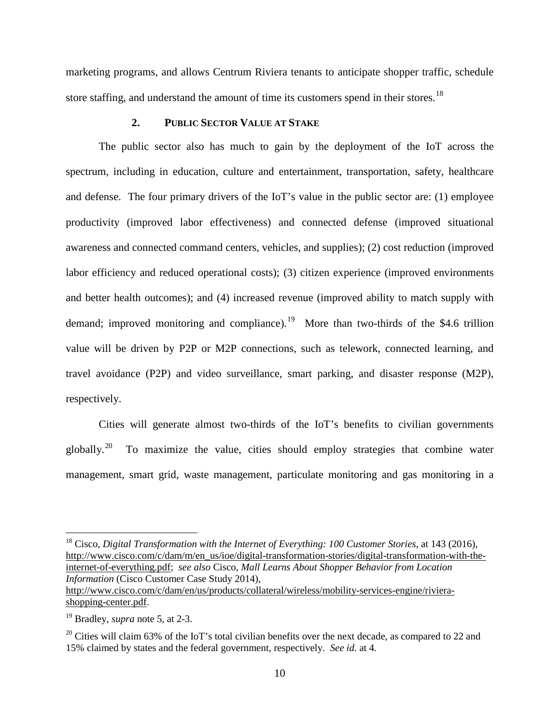marketing programs, and allows Centrum Riviera tenants to anticipate shopper traffic, schedule store staffing, and understand the amount of time its customers spend in their stores.<sup>[18](#page-9-0)</sup>

# **2. PUBLIC SECTOR VALUE AT STAKE**

The public sector also has much to gain by the deployment of the IoT across the spectrum, including in education, culture and entertainment, transportation, safety, healthcare and defense. The four primary drivers of the IoT's value in the public sector are: (1) employee productivity (improved labor effectiveness) and connected defense (improved situational awareness and connected command centers, vehicles, and supplies); (2) cost reduction (improved labor efficiency and reduced operational costs); (3) citizen experience (improved environments and better health outcomes); and (4) increased revenue (improved ability to match supply with demand; improved monitoring and compliance).<sup>19</sup> More than two-thirds of the \$4.6 trillion value will be driven by P2P or M2P connections, such as telework, connected learning, and travel avoidance (P2P) and video surveillance, smart parking, and disaster response (M2P), respectively.

Cities will generate almost two-thirds of the IoT's benefits to civilian governments globally.<sup>[20](#page-9-2)</sup> To maximize the value, cities should employ strategies that combine water management, smart grid, waste management, particulate monitoring and gas monitoring in a

<span id="page-9-0"></span> 18 Cisco, *Digital Transformation with the Internet of Everything: 100 Customer Stories*, at 143 (2016), [http://www.cisco.com/c/dam/m/en\\_us/ioe/digital-transformation-stories/digital-transformation-with-the](http://www.cisco.com/c/dam/m/en_us/ioe/digital-transformation-stories/digital-transformation-with-the-internet-of-everything.pdf)[internet-of-everything.pdf;](http://www.cisco.com/c/dam/m/en_us/ioe/digital-transformation-stories/digital-transformation-with-the-internet-of-everything.pdf) *see also* Cisco, *Mall Learns About Shopper Behavior from Location Information* (Cisco Customer Case Study 2014),

[http://www.cisco.com/c/dam/en/us/products/collateral/wireless/mobility-services-engine/riviera](http://www.cisco.com/c/dam/en/us/products/collateral/wireless/mobility-services-engine/riviera-shopping-center.pdf)[shopping-center.pdf.](http://www.cisco.com/c/dam/en/us/products/collateral/wireless/mobility-services-engine/riviera-shopping-center.pdf)

<span id="page-9-1"></span><sup>19</sup> Bradley, *supra* note 5, at 2-3.

<span id="page-9-2"></span><sup>&</sup>lt;sup>20</sup> Cities will claim 63% of the IoT's total civilian benefits over the next decade, as compared to 22 and 15% claimed by states and the federal government, respectively. *See id.* at 4.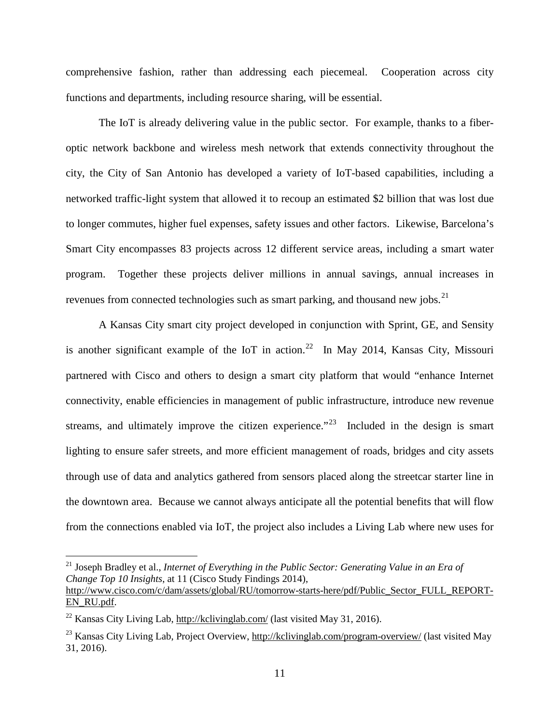comprehensive fashion, rather than addressing each piecemeal. Cooperation across city functions and departments, including resource sharing, will be essential.

The IoT is already delivering value in the public sector. For example, thanks to a fiberoptic network backbone and wireless mesh network that extends connectivity throughout the city, the City of San Antonio has developed a variety of IoT-based capabilities, including a networked traffic-light system that allowed it to recoup an estimated \$2 billion that was lost due to longer commutes, higher fuel expenses, safety issues and other factors. Likewise, Barcelona's Smart City encompasses 83 projects across 12 different service areas, including a smart water program. Together these projects deliver millions in annual savings, annual increases in revenues from connected technologies such as smart parking, and thousand new jobs.<sup>21</sup>

A Kansas City smart city project developed in conjunction with Sprint, GE, and Sensity is another significant example of the IoT in action.<sup>[22](#page-10-1)</sup> In May 2014, Kansas City, Missouri partnered with Cisco and others to design a smart city platform that would "enhance Internet connectivity, enable efficiencies in management of public infrastructure, introduce new revenue streams, and ultimately improve the citizen experience."<sup>23</sup> Included in the design is smart lighting to ensure safer streets, and more efficient management of roads, bridges and city assets through use of data and analytics gathered from sensors placed along the streetcar starter line in the downtown area. Because we cannot always anticipate all the potential benefits that will flow from the connections enabled via IoT, the project also includes a Living Lab where new uses for

<span id="page-10-0"></span><sup>&</sup>lt;sup>21</sup> Joseph Bradley et al., *Internet of Everything in the Public Sector: Generating Value in an Era of Change Top 10 Insights*, at 11 (Cisco Study Findings 2014),

[http://www.cisco.com/c/dam/assets/global/RU/tomorrow-starts-here/pdf/Public\\_Sector\\_FULL\\_REPORT-](http://www.cisco.com/c/dam/assets/global/RU/tomorrow-starts-here/pdf/Public_Sector_FULL_REPORT-EN_RU.pdf)[EN\\_RU.pdf.](http://www.cisco.com/c/dam/assets/global/RU/tomorrow-starts-here/pdf/Public_Sector_FULL_REPORT-EN_RU.pdf)

<span id="page-10-1"></span><sup>&</sup>lt;sup>22</sup> Kansas City Living Lab,<http://kclivinglab.com/> (last visited May 31, 2016).

<span id="page-10-2"></span><sup>&</sup>lt;sup>23</sup> Kansas City Living Lab, Project Overview,<http://kclivinglab.com/program-overview/> (last visited May 31, 2016).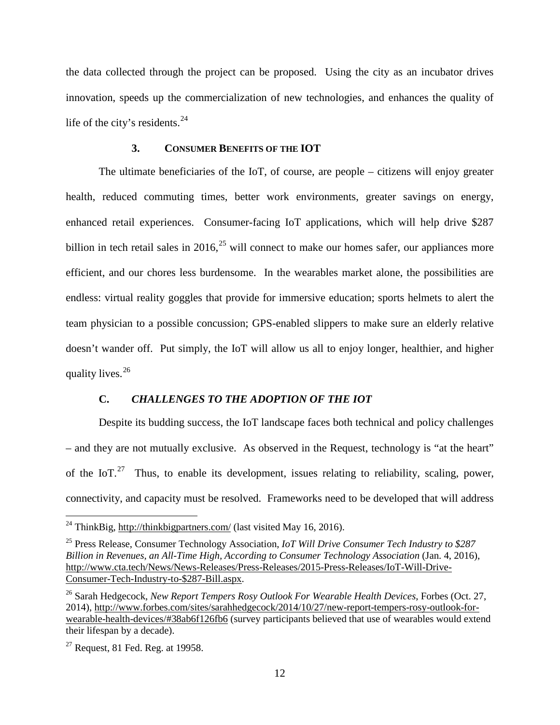the data collected through the project can be proposed. Using the city as an incubator drives innovation, speeds up the commercialization of new technologies, and enhances the quality of life of the city's residents. $^{24}$ 

# **3. CONSUMER BENEFITS OF THE IOT**

The ultimate beneficiaries of the IoT, of course, are people – citizens will enjoy greater health, reduced commuting times, better work environments, greater savings on energy, enhanced retail experiences. Consumer-facing IoT applications, which will help drive \$287 billion in tech retail sales in  $2016$ <sup>[25](#page-11-1)</sup> will connect to make our homes safer, our appliances more efficient, and our chores less burdensome. In the wearables market alone, the possibilities are endless: virtual reality goggles that provide for immersive education; sports helmets to alert the team physician to a possible concussion; GPS-enabled slippers to make sure an elderly relative doesn't wander off. Put simply, the IoT will allow us all to enjoy longer, healthier, and higher quality lives.[26](#page-11-2)

# **C.** *CHALLENGES TO THE ADOPTION OF THE IOT*

Despite its budding success, the IoT landscape faces both technical and policy challenges – and they are not mutually exclusive. As observed in the Request, technology is "at the heart" of the IoT.<sup>27</sup> Thus, to enable its development, issues relating to reliability, scaling, power, connectivity, and capacity must be resolved. Frameworks need to be developed that will address

<span id="page-11-0"></span><sup>&</sup>lt;sup>24</sup> ThinkBig,<http://thinkbigpartners.com/> (last visited May 16, 2016).

<span id="page-11-1"></span><sup>25</sup> Press Release, Consumer Technology Association, *IoT Will Drive Consumer Tech Industry to \$287 Billion in Revenues, an All-Time High, According to Consumer Technology Association* (Jan. 4, 2016), [http://www.cta.tech/News/News-Releases/Press-Releases/2015-Press-Releases/IoT-Will-Drive-](http://www.cta.tech/News/News-Releases/Press-Releases/2015-Press-Releases/IoT-Will-Drive-Consumer-Tech-Industry-to-$287-Bill.aspx)[Consumer-Tech-Industry-to-\\$287-Bill.aspx.](http://www.cta.tech/News/News-Releases/Press-Releases/2015-Press-Releases/IoT-Will-Drive-Consumer-Tech-Industry-to-$287-Bill.aspx)

<span id="page-11-2"></span><sup>26</sup> Sarah Hedgecock, *[New Report Tempers Rosy Outlook For Wearable Health Devices](http://www.forbes.com/sites/sarahhedgecock/2014/10/27/new-report-tempers-rosy-outlook-for-wearable-health-devices/#1f780b0226fb)*, Forbes (Oct. 27, [2014\),](http://www.forbes.com/sites/sarahhedgecock/2014/10/27/new-report-tempers-rosy-outlook-for-wearable-health-devices/#1f780b0226fb) [http://www.forbes.com/sites/sarahhedgecock/2014/10/27/new-report-tempers-rosy-outlook-for](http://www.forbes.com/sites/sarahhedgecock/2014/10/27/new-report-tempers-rosy-outlook-for-wearable-health-devices/#38ab6f126fb6)[wearable-health-devices/#38ab6f126fb6](http://www.forbes.com/sites/sarahhedgecock/2014/10/27/new-report-tempers-rosy-outlook-for-wearable-health-devices/#38ab6f126fb6) (survey participants believed that use of wearables would extend their lifespan by a decade).

<span id="page-11-3"></span> $27$  Request, 81 Fed. Reg. at 19958.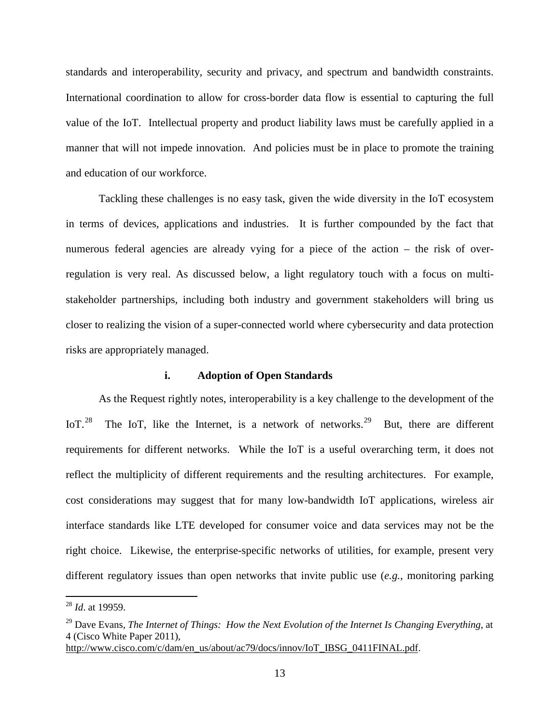standards and interoperability, security and privacy, and spectrum and bandwidth constraints. International coordination to allow for cross-border data flow is essential to capturing the full value of the IoT. Intellectual property and product liability laws must be carefully applied in a manner that will not impede innovation. And policies must be in place to promote the training and education of our workforce.

Tackling these challenges is no easy task, given the wide diversity in the IoT ecosystem in terms of devices, applications and industries. It is further compounded by the fact that numerous federal agencies are already vying for a piece of the action – the risk of overregulation is very real. As discussed below, a light regulatory touch with a focus on multistakeholder partnerships, including both industry and government stakeholders will bring us closer to realizing the vision of a super-connected world where cybersecurity and data protection risks are appropriately managed.

# **i. Adoption of Open Standards**

As the Request rightly notes, interoperability is a key challenge to the development of the IoT.<sup>[28](#page-12-0)</sup> The IoT, like the Internet, is a network of networks.<sup>[29](#page-12-1)</sup> But, there are different requirements for different networks. While the IoT is a useful overarching term, it does not reflect the multiplicity of different requirements and the resulting architectures. For example, cost considerations may suggest that for many low-bandwidth IoT applications, wireless air interface standards like LTE developed for consumer voice and data services may not be the right choice. Likewise, the enterprise-specific networks of utilities, for example, present very different regulatory issues than open networks that invite public use (*e.g.*, monitoring parking

<span id="page-12-0"></span> <sup>28</sup> *Id*. at 19959.

<span id="page-12-1"></span><sup>29</sup> Dave Evans, *The Internet of Things: How the Next Evolution of the Internet Is Changing Everything*, at 4 (Cisco White Paper 2011),

[http://www.cisco.com/c/dam/en\\_us/about/ac79/docs/innov/IoT\\_IBSG\\_0411FINAL.pdf.](http://www.cisco.com/c/dam/en_us/about/ac79/docs/innov/IoT_IBSG_0411FINAL.pdf)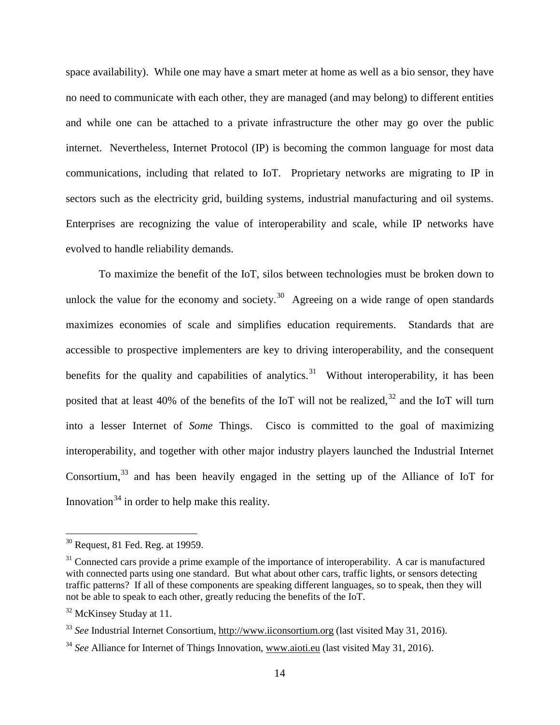space availability). While one may have a smart meter at home as well as a bio sensor, they have no need to communicate with each other, they are managed (and may belong) to different entities and while one can be attached to a private infrastructure the other may go over the public internet. Nevertheless, Internet Protocol (IP) is becoming the common language for most data communications, including that related to IoT. Proprietary networks are migrating to IP in sectors such as the electricity grid, building systems, industrial manufacturing and oil systems. Enterprises are recognizing the value of interoperability and scale, while IP networks have evolved to handle reliability demands.

To maximize the benefit of the IoT, silos between technologies must be broken down to unlock the value for the economy and society.<sup>[30](#page-13-0)</sup> Agreeing on a wide range of open standards maximizes economies of scale and simplifies education requirements. Standards that are accessible to prospective implementers are key to driving interoperability, and the consequent benefits for the quality and capabilities of analytics.<sup>[31](#page-13-1)</sup> Without interoperability, it has been posited that at least 40% of the benefits of the IoT will not be realized, $32$  and the IoT will turn into a lesser Internet of *Some* Things. Cisco is committed to the goal of maximizing interoperability, and together with other major industry players launched the Industrial Internet Consortium,  $33$  and has been heavily engaged in the setting up of the Alliance of IoT for Innovation<sup>[34](#page-13-4)</sup> in order to help make this reality.

<span id="page-13-0"></span> <sup>30</sup> Request, 81 Fed. Reg. at 19959.

<span id="page-13-1"></span> $31$  Connected cars provide a prime example of the importance of interoperability. A car is manufactured with connected parts using one standard. But what about other cars, traffic lights, or sensors detecting traffic patterns? If all of these components are speaking different languages, so to speak, then they will not be able to speak to each other, greatly reducing the benefits of the IoT.

<span id="page-13-2"></span><sup>&</sup>lt;sup>32</sup> McKinsey Studay at 11.

<span id="page-13-3"></span><sup>33</sup> *See* Industrial Internet Consortium, [http://www.iiconsortium.org](http://www.iiconsortium.org/) (last visited May 31, 2016).

<span id="page-13-4"></span><sup>34</sup> *See* Alliance for Internet of Things Innovation[, www.aioti.eu](http://www.aioti.eu/) (last visited May 31, 2016).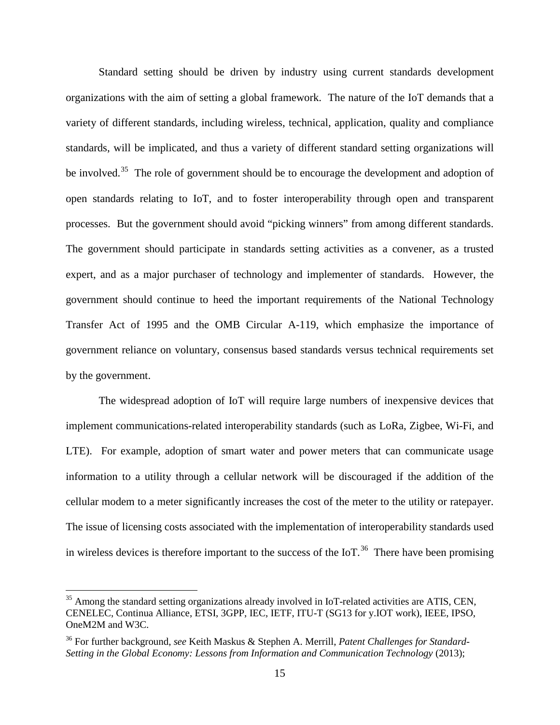Standard setting should be driven by industry using current standards development organizations with the aim of setting a global framework. The nature of the IoT demands that a variety of different standards, including wireless, technical, application, quality and compliance standards, will be implicated, and thus a variety of different standard setting organizations will be involved.<sup>[35](#page-14-0)</sup> The role of government should be to encourage the development and adoption of open standards relating to IoT, and to foster interoperability through open and transparent processes. But the government should avoid "picking winners" from among different standards. The government should participate in standards setting activities as a convener, as a trusted expert, and as a major purchaser of technology and implementer of standards. However, the government should continue to heed the important requirements of the National Technology Transfer Act of 1995 and the OMB Circular A-119, which emphasize the importance of government reliance on voluntary, consensus based standards versus technical requirements set by the government.

The widespread adoption of IoT will require large numbers of inexpensive devices that implement communications-related interoperability standards (such as LoRa, Zigbee, Wi-Fi, and LTE). For example, adoption of smart water and power meters that can communicate usage information to a utility through a cellular network will be discouraged if the addition of the cellular modem to a meter significantly increases the cost of the meter to the utility or ratepayer. The issue of licensing costs associated with the implementation of interoperability standards used in wireless devices is therefore important to the success of the IoT.<sup>36</sup> There have been promising

<span id="page-14-0"></span><sup>&</sup>lt;sup>35</sup> Among the standard setting organizations already involved in IoT-related activities are ATIS, CEN, CENELEC, Continua Alliance, ETSI, 3GPP, IEC, IETF, ITU-T (SG13 for y.IOT work), IEEE, IPSO, OneM2M and W3C.

<span id="page-14-1"></span><sup>36</sup> For further background, *see* Keith Maskus & Stephen A. Merrill, *Patent Challenges for Standard-Setting in the Global Economy: Lessons from Information and Communication Technology* (2013);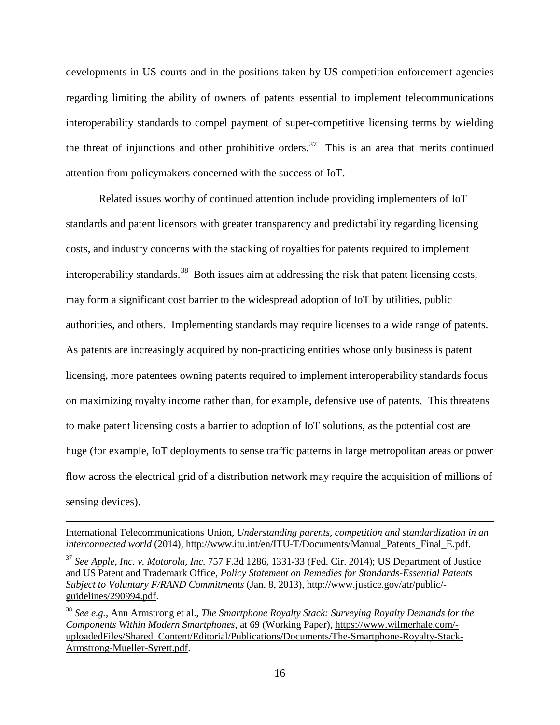developments in US courts and in the positions taken by US competition enforcement agencies regarding limiting the ability of owners of patents essential to implement telecommunications interoperability standards to compel payment of super-competitive licensing terms by wielding the threat of injunctions and other prohibitive orders.<sup>37</sup> This is an area that merits continued attention from policymakers concerned with the success of IoT.

Related issues worthy of continued attention include providing implementers of IoT standards and patent licensors with greater transparency and predictability regarding licensing costs, and industry concerns with the stacking of royalties for patents required to implement interoperability standards.<sup>[38](#page-15-1)</sup> Both issues aim at addressing the risk that patent licensing costs, may form a significant cost barrier to the widespread adoption of IoT by utilities, public authorities, and others. Implementing standards may require licenses to a wide range of patents. As patents are increasingly acquired by non-practicing entities whose only business is patent licensing, more patentees owning patents required to implement interoperability standards focus on maximizing royalty income rather than, for example, defensive use of patents. This threatens to make patent licensing costs a barrier to adoption of IoT solutions, as the potential cost are huge (for example, IoT deployments to sense traffic patterns in large metropolitan areas or power flow across the electrical grid of a distribution network may require the acquisition of millions of sensing devices).

 $\overline{a}$ 

International Telecommunications Union, *Understanding parents, competition and standardization in an interconnected world* (2014), [http://www.itu.int/en/ITU-T/Documents/Manual\\_Patents\\_Final\\_E.pdf.](http://www.itu.int/en/ITU-T/Documents/Manual_Patents_Final_E.pdf)

<span id="page-15-0"></span><sup>37</sup> *See Apple, Inc. v. Motorola, Inc.* 757 F.3d 1286, 1331-33 (Fed. Cir. 2014); US Department of Justice and US Patent and Trademark Office, *Policy Statement on Remedies for Standards-Essential Patents Subject to Voluntary F/RAND Commitments* (Jan. 8, 2013), [http://www.justice.gov/atr/public/](http://www.justice.gov/atr/public/guidelines/290994.pdf) [guidelines/290994.pdf.](http://www.justice.gov/atr/public/guidelines/290994.pdf)

<span id="page-15-1"></span><sup>38</sup> *See e.g.*, Ann Armstrong et al., *The Smartphone Royalty Stack: Surveying Royalty Demands for the Components Within Modern Smartphones*, at 69 (Working Paper), [https://www.wilmerhale.com/](https://www.wilmerhale.com/uploadedFiles/Shared_Content/Editorial/Publications/Documents/The-Smartphone-Royalty-Stack-Armstrong-Mueller-Syrett.pdf) [uploadedFiles/Shared\\_Content/Editorial/Publications/Documents/The-Smartphone-Royalty-Stack-](https://www.wilmerhale.com/uploadedFiles/Shared_Content/Editorial/Publications/Documents/The-Smartphone-Royalty-Stack-Armstrong-Mueller-Syrett.pdf)[Armstrong-Mueller-Syrett.pdf.](https://www.wilmerhale.com/uploadedFiles/Shared_Content/Editorial/Publications/Documents/The-Smartphone-Royalty-Stack-Armstrong-Mueller-Syrett.pdf)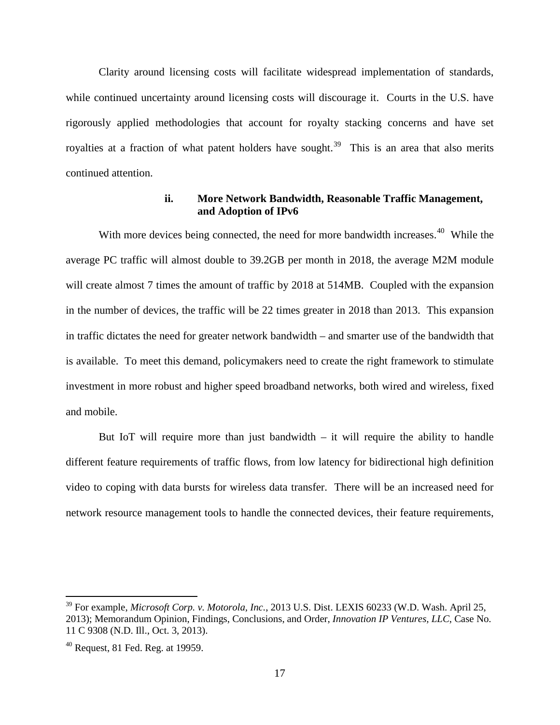Clarity around licensing costs will facilitate widespread implementation of standards, while continued uncertainty around licensing costs will discourage it. Courts in the U.S. have rigorously applied methodologies that account for royalty stacking concerns and have set royalties at a fraction of what patent holders have sought.<sup>[39](#page-16-0)</sup> This is an area that also merits continued attention.

### **ii. More Network Bandwidth, Reasonable Traffic Management, and Adoption of IPv6**

With more devices being connected, the need for more bandwidth increases.<sup>[40](#page-16-1)</sup> While the average PC traffic will almost double to 39.2GB per month in 2018, the average M2M module will create almost 7 times the amount of traffic by 2018 at 514MB. Coupled with the expansion in the number of devices, the traffic will be 22 times greater in 2018 than 2013. This expansion in traffic dictates the need for greater network bandwidth – and smarter use of the bandwidth that is available. To meet this demand, policymakers need to create the right framework to stimulate investment in more robust and higher speed broadband networks, both wired and wireless, fixed and mobile.

But IoT will require more than just bandwidth – it will require the ability to handle different feature requirements of traffic flows, from low latency for bidirectional high definition video to coping with data bursts for wireless data transfer. There will be an increased need for network resource management tools to handle the connected devices, their feature requirements,

<span id="page-16-0"></span> <sup>39</sup> For example, *Microsoft Corp. v. Motorola, Inc.*, 2013 U.S. Dist. LEXIS 60233 (W.D. Wash. April 25, 2013); Memorandum Opinion, Findings, Conclusions, and Order, *Innovation IP Ventures, LLC*, Case No. 11 C 9308 (N.D. Ill., Oct. 3, 2013).

<span id="page-16-1"></span> $40$  Request, 81 Fed. Reg. at 19959.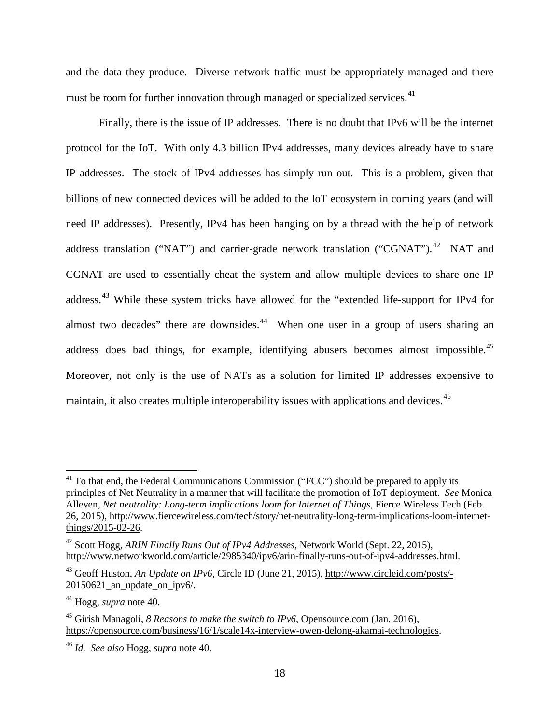and the data they produce. Diverse network traffic must be appropriately managed and there must be room for further innovation through managed or specialized services.<sup>[41](#page-17-0)</sup>

Finally, there is the issue of IP addresses. There is no doubt that IPv6 will be the internet protocol for the IoT. With only 4.3 billion IPv4 addresses, many devices already have to share IP addresses. The stock of IPv4 addresses has simply run out. This is a problem, given that billions of new connected devices will be added to the IoT ecosystem in coming years (and will need IP addresses). Presently, IPv4 has been hanging on by a thread with the help of network address translation ("NAT") and carrier-grade network translation ("CGNAT").<sup>42</sup> NAT and CGNAT are used to essentially cheat the system and allow multiple devices to share one IP address.<sup>[43](#page-17-2)</sup> While these system tricks have allowed for the "extended life-support for IPv4 for almost two decades" there are downsides.<sup>44</sup> When one user in a group of users sharing an address does bad things, for example, identifying abusers becomes almost impossible.<sup>[45](#page-17-4)</sup> Moreover, not only is the use of NATs as a solution for limited IP addresses expensive to maintain, it also creates multiple interoperability issues with applications and devices.<sup>[46](#page-17-5)</sup>

<span id="page-17-0"></span><sup>&</sup>lt;sup>41</sup> To that end, the Federal Communications Commission ("FCC") should be prepared to apply its principles of Net Neutrality in a manner that will facilitate the promotion of IoT deployment. *See* Monica Alleven, *Net neutrality: Long-term implications loom for Internet of Things*, Fierce Wireless Tech (Feb. 26, 2015)[, http://www.fiercewireless.com/tech/story/net-neutrality-long-term-implications-loom-internet](http://www.fiercewireless.com/tech/story/net-neutrality-long-term-implications-loom-internet-things/2015-02-26)[things/2015-02-26.](http://www.fiercewireless.com/tech/story/net-neutrality-long-term-implications-loom-internet-things/2015-02-26) 

<span id="page-17-1"></span><sup>42</sup> Scott Hogg, *ARIN Finally Runs Out of IPv4 Addresses*, Network World (Sept. 22, 2015), [http://www.networkworld.com/article/2985340/ipv6/arin-finally-runs-out-of-ipv4-addresses.html.](http://www.networkworld.com/article/2985340/ipv6/arin-finally-runs-out-of-ipv4-addresses.html)

<span id="page-17-2"></span><sup>43</sup> Geoff Huston, *An Update on IPv6*, Circle ID (June 21, 2015), [http://www.circleid.com/posts/-](http://www.circleid.com/posts/20150621_an_update_on_ipv6/) [20150621\\_an\\_update\\_on\\_ipv6/.](http://www.circleid.com/posts/20150621_an_update_on_ipv6/)

<span id="page-17-3"></span><sup>44</sup> Hogg, *supra* note 40.

<span id="page-17-4"></span><sup>45</sup> Girish Managoli, *8 Reasons to make the switch to IPv6*, Opensource.com (Jan. 2016), [https://opensource.com/business/16/1/scale14x-interview-owen-delong-akamai-technologies.](https://opensource.com/business/16/1/scale14x-interview-owen-delong-akamai-technologies)

<span id="page-17-5"></span><sup>46</sup> *Id. See also* Hogg, *supra* note 40.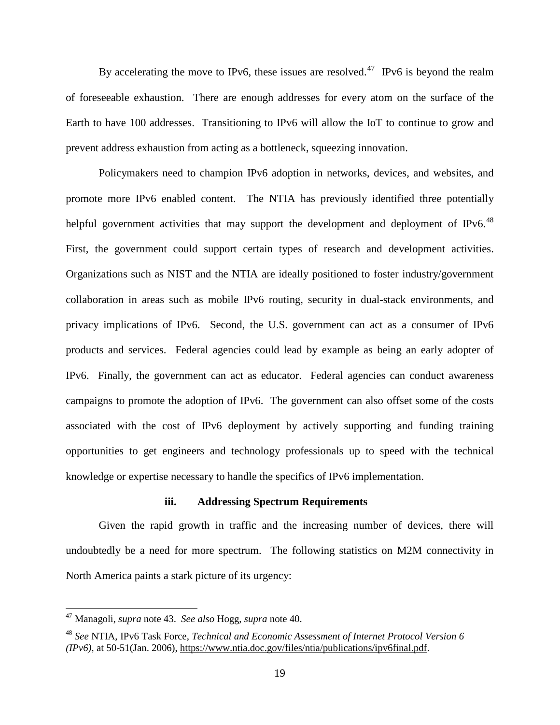By accelerating the move to IPv6, these issues are resolved.<sup>[47](#page-18-0)</sup> IPv6 is beyond the realm of foreseeable exhaustion. There are enough addresses for every atom on the surface of the Earth to have 100 addresses. Transitioning to IPv6 will allow the IoT to continue to grow and prevent address exhaustion from acting as a bottleneck, squeezing innovation.

Policymakers need to champion IPv6 adoption in networks, devices, and websites, and promote more IPv6 enabled content. The NTIA has previously identified three potentially helpful government activities that may support the development and deployment of IPv6. $48$ First, the government could support certain types of research and development activities. Organizations such as NIST and the NTIA are ideally positioned to foster industry/government collaboration in areas such as mobile IPv6 routing, security in dual-stack environments, and privacy implications of IPv6. Second, the U.S. government can act as a consumer of IPv6 products and services. Federal agencies could lead by example as being an early adopter of IPv6. Finally, the government can act as educator. Federal agencies can conduct awareness campaigns to promote the adoption of IPv6. The government can also offset some of the costs associated with the cost of IPv6 deployment by actively supporting and funding training opportunities to get engineers and technology professionals up to speed with the technical knowledge or expertise necessary to handle the specifics of IPv6 implementation.

#### **iii. Addressing Spectrum Requirements**

Given the rapid growth in traffic and the increasing number of devices, there will undoubtedly be a need for more spectrum. The following statistics on M2M connectivity in North America paints a stark picture of its urgency:

<span id="page-18-0"></span> <sup>47</sup> Managoli, *supra* note 43. *See also* Hogg, *supra* note 40.

<span id="page-18-1"></span><sup>48</sup> *See* NTIA, IPv6 Task Force, *Technical and Economic Assessment of Internet Protocol Version 6 (IPv6)*, at 50-51(Jan. 2006), [https://www.ntia.doc.gov/files/ntia/publications/ipv6final.pdf.](https://www.ntia.doc.gov/files/ntia/publications/ipv6final.pdf)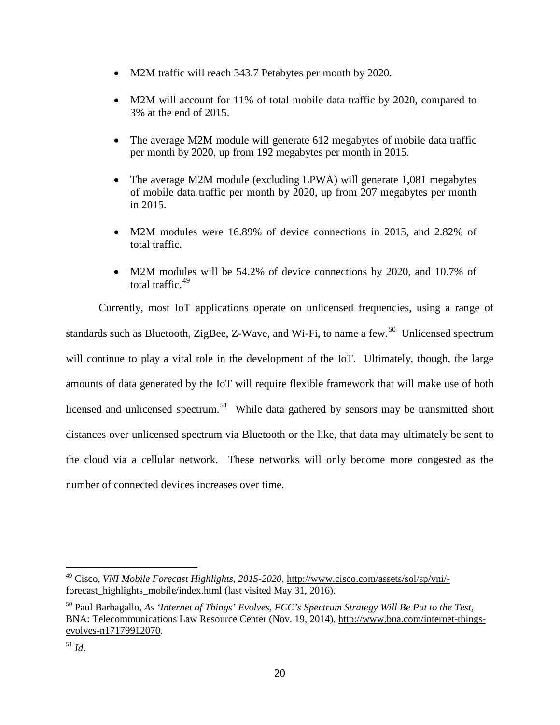- M2M traffic will reach 343.7 Petabytes per month by 2020.
- M2M will account for 11% of total mobile data traffic by 2020, compared to 3% at the end of 2015.
- The average M2M module will generate 612 megabytes of mobile data traffic per month by 2020, up from 192 megabytes per month in 2015.
- The average M2M module (excluding LPWA) will generate 1,081 megabytes of mobile data traffic per month by 2020, up from 207 megabytes per month in 2015.
- M2M modules were 16.89% of device connections in 2015, and 2.82% of total traffic.
- M2M modules will be 54.2% of device connections by 2020, and 10.7% of total traffic.<sup>[49](#page-19-0)</sup>

Currently, most IoT applications operate on unlicensed frequencies, using a range of standards such as Bluetooth, ZigBee, Z-Wave, and Wi-Fi, to name a few.<sup>[50](#page-19-1)</sup> Unlicensed spectrum will continue to play a vital role in the development of the IoT. Ultimately, though, the large amounts of data generated by the IoT will require flexible framework that will make use of both licensed and unlicensed spectrum.<sup>[51](#page-19-2)</sup> While data gathered by sensors may be transmitted short distances over unlicensed spectrum via Bluetooth or the like, that data may ultimately be sent to the cloud via a cellular network. These networks will only become more congested as the number of connected devices increases over time.

<span id="page-19-0"></span> <sup>49</sup> Cisco, *VNI Mobile Forecast Highlights, 2015-2020*, [http://www.cisco.com/assets/sol/sp/vni/](http://www.cisco.com/assets/sol/sp/vni/forecast_highlights_mobile/index.html) [forecast\\_highlights\\_mobile/index.html](http://www.cisco.com/assets/sol/sp/vni/forecast_highlights_mobile/index.html) (last visited May 31, 2016).

<span id="page-19-1"></span><sup>50</sup> Paul Barbagallo, *As 'Internet of Things' Evolves, FCC's Spectrum Strategy Will Be Put to the Test*, BNA: Telecommunications Law Resource Center (Nov. 19, 2014), [http://www.bna.com/internet-things](http://www.bna.com/internet-things-evolves-n17179912070)[evolves-n17179912070.](http://www.bna.com/internet-things-evolves-n17179912070)

<span id="page-19-2"></span><sup>51</sup> *Id*.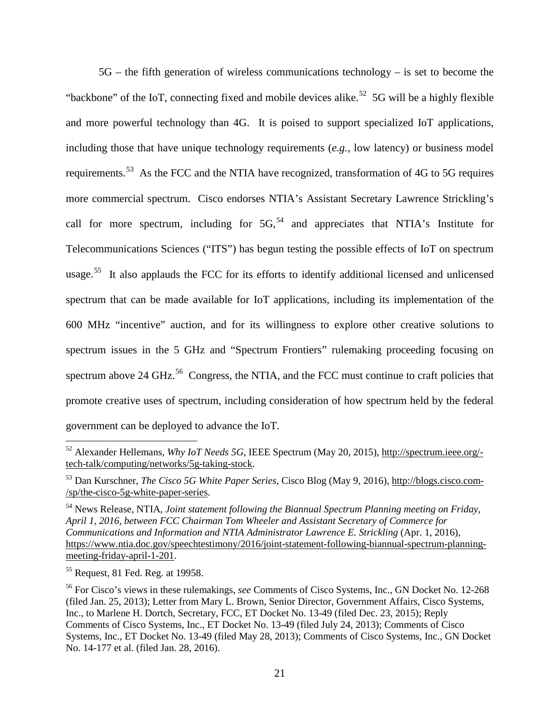5G – the fifth generation of wireless communications technology – is set to become the "backbone" of the IoT, connecting fixed and mobile devices alike.<sup>[52](#page-20-0)</sup> 5G will be a highly flexible and more powerful technology than 4G. It is poised to support specialized IoT applications, including those that have unique technology requirements (*e.g.*, low latency) or business model requirements.[53](#page-20-1) As the FCC and the NTIA have recognized, transformation of 4G to 5G requires more commercial spectrum. Cisco endorses NTIA's Assistant Secretary Lawrence Strickling's call for more spectrum, including for  $5G<sub>1</sub><sup>54</sup>$  $5G<sub>1</sub><sup>54</sup>$  $5G<sub>1</sub><sup>54</sup>$  and appreciates that NTIA's Institute for Telecommunications Sciences ("ITS") has begun testing the possible effects of IoT on spectrum usage.<sup>[55](#page-20-3)</sup> It also applauds the FCC for its efforts to identify additional licensed and unlicensed spectrum that can be made available for IoT applications, including its implementation of the 600 MHz "incentive" auction, and for its willingness to explore other creative solutions to spectrum issues in the 5 GHz and "Spectrum Frontiers" rulemaking proceeding focusing on spectrum above 24 GHz.<sup>[56](#page-20-4)</sup> Congress, the NTIA, and the FCC must continue to craft policies that promote creative uses of spectrum, including consideration of how spectrum held by the federal government can be deployed to advance the IoT.

<span id="page-20-0"></span> <sup>52</sup> Alexander Hellemans, *Why IoT Needs 5G*, IEEE Spectrum (May 20, 2015), [http://spectrum.ieee.org/](http://spectrum.ieee.org/tech-talk/computing/networks/5g-taking-stock) [tech-talk/computing/networks/5g-taking-stock.](http://spectrum.ieee.org/tech-talk/computing/networks/5g-taking-stock)

<span id="page-20-1"></span><sup>53</sup> Dan Kurschner, *The Cisco 5G White Paper Series*, Cisco Blog (May 9, 2016), [http://blogs.cisco.com-](http://blogs.cisco.com/sp/the-cisco-5g-white-paper-series) [/sp/the-cisco-5g-white-paper-series.](http://blogs.cisco.com/sp/the-cisco-5g-white-paper-series)

<span id="page-20-2"></span><sup>54</sup> News Release, NTIA, *Joint statement following the Biannual Spectrum Planning meeting on Friday, April 1, 2016, between FCC Chairman Tom Wheeler and Assistant Secretary of Commerce for Communications and Information and NTIA Administrator Lawrence E. Strickling* (Apr. 1, 2016), [https://www.ntia.doc.gov/speechtestimony/2016/joint-statement-following-biannual-spectrum-planning](https://www.ntia.doc.gov/speechtestimony/2016/joint-statement-following-biannual-spectrum-planning-meeting-friday-april-1-201)[meeting-friday-april-1-201.](https://www.ntia.doc.gov/speechtestimony/2016/joint-statement-following-biannual-spectrum-planning-meeting-friday-april-1-201)

<span id="page-20-3"></span><sup>55</sup> Request, 81 Fed. Reg. at 19958.

<span id="page-20-4"></span><sup>56</sup> For Cisco's views in these rulemakings, *see* Comments of Cisco Systems, Inc., GN Docket No. 12-268 (filed Jan. 25, 2013); Letter from Mary L. Brown, Senior Director, Government Affairs, Cisco Systems, Inc., to Marlene H. Dortch, Secretary, FCC, ET Docket No. 13-49 (filed Dec. 23, 2015); Reply Comments of Cisco Systems, Inc., ET Docket No. 13-49 (filed July 24, 2013); Comments of Cisco Systems, Inc., ET Docket No. 13-49 (filed May 28, 2013); Comments of Cisco Systems, Inc., GN Docket No. 14-177 et al. (filed Jan. 28, 2016).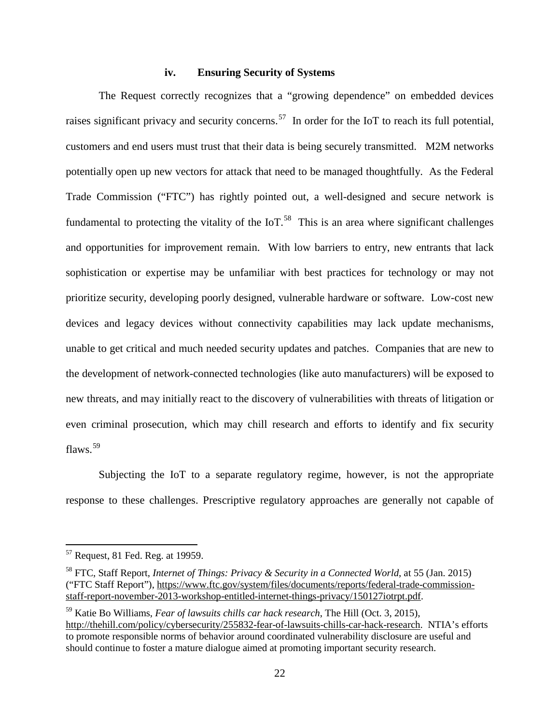#### **iv. Ensuring Security of Systems**

The Request correctly recognizes that a "growing dependence" on embedded devices raises significant privacy and security concerns.<sup>57</sup> In order for the IoT to reach its full potential, customers and end users must trust that their data is being securely transmitted. M2M networks potentially open up new vectors for attack that need to be managed thoughtfully. As the Federal Trade Commission ("FTC") has rightly pointed out, a well-designed and secure network is fundamental to protecting the vitality of the IoT.<sup>58</sup> This is an area where significant challenges and opportunities for improvement remain. With low barriers to entry, new entrants that lack sophistication or expertise may be unfamiliar with best practices for technology or may not prioritize security, developing poorly designed, vulnerable hardware or software. Low-cost new devices and legacy devices without connectivity capabilities may lack update mechanisms, unable to get critical and much needed security updates and patches. Companies that are new to the development of network-connected technologies (like auto manufacturers) will be exposed to new threats, and may initially react to the discovery of vulnerabilities with threats of litigation or even criminal prosecution, which may chill research and efforts to identify and fix security flaws. [59](#page-21-2) 

Subjecting the IoT to a separate regulatory regime, however, is not the appropriate response to these challenges. Prescriptive regulatory approaches are generally not capable of

<span id="page-21-0"></span> <sup>57</sup> Request, 81 Fed. Reg. at 19959.

<span id="page-21-1"></span><sup>58</sup> FTC, Staff Report, *Internet of Things: Privacy & Security in a Connected World*, at 55 (Jan. 2015) ("FTC Staff Report"), [https://www.ftc.gov/system/files/documents/reports/federal-trade-commission](https://www.ftc.gov/system/files/documents/reports/federal-trade-commission-staff-report-november-2013-workshop-entitled-internet-things-privacy/150127iotrpt.pdf)[staff-report-november-2013-workshop-entitled-internet-things-privacy/150127iotrpt.pdf.](https://www.ftc.gov/system/files/documents/reports/federal-trade-commission-staff-report-november-2013-workshop-entitled-internet-things-privacy/150127iotrpt.pdf)

<span id="page-21-2"></span><sup>59</sup> Katie Bo Williams, *Fear of lawsuits chills car hack research*, The Hill (Oct. 3, 2015), [http://thehill.com/policy/cybersecurity/255832-fear-of-lawsuits-chills-car-hack-research.](http://thehill.com/policy/cybersecurity/255832-fear-of-lawsuits-chills-car-hack-research) NTIA's efforts to promote responsible norms of behavior around coordinated vulnerability disclosure are useful and should continue to foster a mature dialogue aimed at promoting important security research.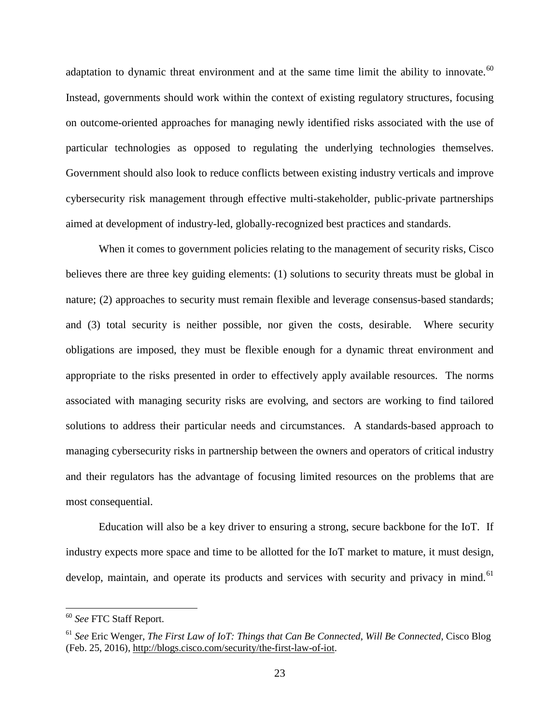adaptation to dynamic threat environment and at the same time limit the ability to innovate.  $60$ Instead, governments should work within the context of existing regulatory structures, focusing on outcome-oriented approaches for managing newly identified risks associated with the use of particular technologies as opposed to regulating the underlying technologies themselves. Government should also look to reduce conflicts between existing industry verticals and improve cybersecurity risk management through effective multi-stakeholder, public-private partnerships aimed at development of industry-led, globally-recognized best practices and standards.

When it comes to government policies relating to the management of security risks, Cisco believes there are three key guiding elements: (1) solutions to security threats must be global in nature; (2) approaches to security must remain flexible and leverage consensus-based standards; and (3) total security is neither possible, nor given the costs, desirable. Where security obligations are imposed, they must be flexible enough for a dynamic threat environment and appropriate to the risks presented in order to effectively apply available resources. The norms associated with managing security risks are evolving, and sectors are working to find tailored solutions to address their particular needs and circumstances. A standards-based approach to managing cybersecurity risks in partnership between the owners and operators of critical industry and their regulators has the advantage of focusing limited resources on the problems that are most consequential.

Education will also be a key driver to ensuring a strong, secure backbone for the IoT. If industry expects more space and time to be allotted for the IoT market to mature, it must design, develop, maintain, and operate its products and services with security and privacy in mind.<sup>[61](#page-22-1)</sup>

<span id="page-22-0"></span> <sup>60</sup> *See* FTC Staff Report.

<span id="page-22-1"></span><sup>61</sup> *See* Eric Wenger, *The First Law of IoT: Things that Can Be Connected, Will Be Connected*, Cisco Blog (Feb. 25, 2016), [http://blogs.cisco.com/security/the-first-law-of-iot.](http://blogs.cisco.com/security/the-first-law-of-iot)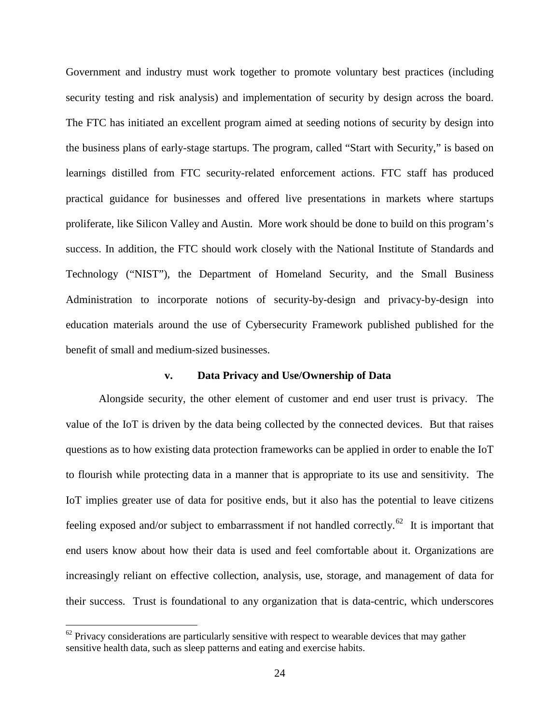Government and industry must work together to promote voluntary best practices (including security testing and risk analysis) and implementation of security by design across the board. The FTC has initiated an excellent program aimed at seeding notions of security by design into the business plans of early-stage startups. The program, called "Start with Security," is based on learnings distilled from FTC security-related enforcement actions. FTC staff has produced practical guidance for businesses and offered live presentations in markets where startups proliferate, like Silicon Valley and Austin. More work should be done to build on this program's success. In addition, the FTC should work closely with the National Institute of Standards and Technology ("NIST"), the Department of Homeland Security, and the Small Business Administration to incorporate notions of security-by-design and privacy-by-design into education materials around the use of Cybersecurity Framework published published for the benefit of small and medium-sized businesses.

#### **v. Data Privacy and Use/Ownership of Data**

Alongside security, the other element of customer and end user trust is privacy. The value of the IoT is driven by the data being collected by the connected devices. But that raises questions as to how existing data protection frameworks can be applied in order to enable the IoT to flourish while protecting data in a manner that is appropriate to its use and sensitivity. The IoT implies greater use of data for positive ends, but it also has the potential to leave citizens feeling exposed and/or subject to embarrassment if not handled correctly.<sup>[62](#page-23-0)</sup> It is important that end users know about how their data is used and feel comfortable about it. Organizations are increasingly reliant on effective collection, analysis, use, storage, and management of data for their success. Trust is foundational to any organization that is data-centric, which underscores

<span id="page-23-0"></span> $62$  Privacy considerations are particularly sensitive with respect to wearable devices that may gather sensitive health data, such as sleep patterns and eating and exercise habits.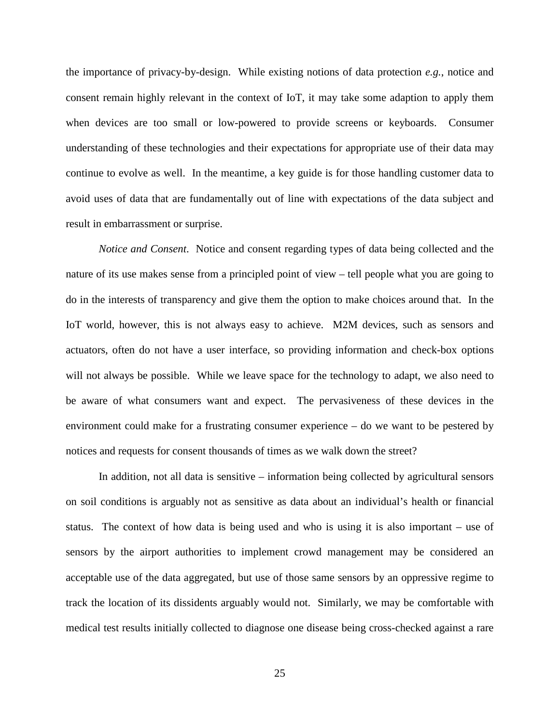the importance of privacy-by-design. While existing notions of data protection *e.g.*, notice and consent remain highly relevant in the context of IoT, it may take some adaption to apply them when devices are too small or low-powered to provide screens or keyboards. Consumer understanding of these technologies and their expectations for appropriate use of their data may continue to evolve as well. In the meantime, a key guide is for those handling customer data to avoid uses of data that are fundamentally out of line with expectations of the data subject and result in embarrassment or surprise.

*Notice and Consent*. Notice and consent regarding types of data being collected and the nature of its use makes sense from a principled point of view – tell people what you are going to do in the interests of transparency and give them the option to make choices around that. In the IoT world, however, this is not always easy to achieve. M2M devices, such as sensors and actuators, often do not have a user interface, so providing information and check-box options will not always be possible. While we leave space for the technology to adapt, we also need to be aware of what consumers want and expect. The pervasiveness of these devices in the environment could make for a frustrating consumer experience – do we want to be pestered by notices and requests for consent thousands of times as we walk down the street?

In addition, not all data is sensitive – information being collected by agricultural sensors on soil conditions is arguably not as sensitive as data about an individual's health or financial status. The context of how data is being used and who is using it is also important – use of sensors by the airport authorities to implement crowd management may be considered an acceptable use of the data aggregated, but use of those same sensors by an oppressive regime to track the location of its dissidents arguably would not. Similarly, we may be comfortable with medical test results initially collected to diagnose one disease being cross-checked against a rare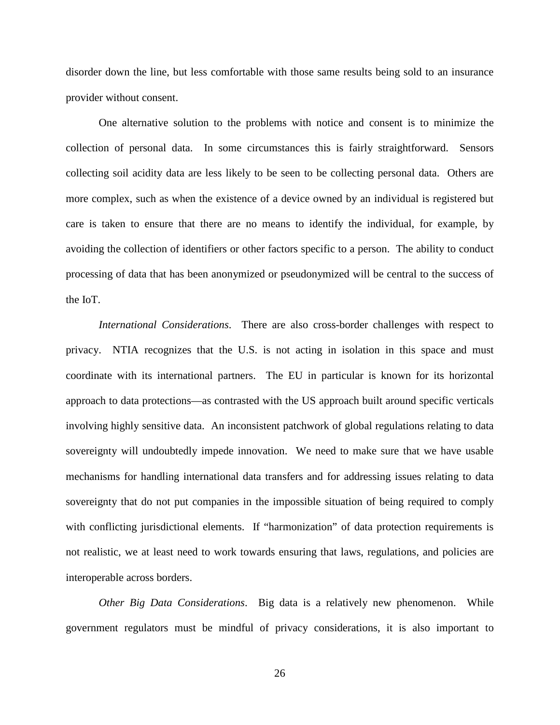disorder down the line, but less comfortable with those same results being sold to an insurance provider without consent.

One alternative solution to the problems with notice and consent is to minimize the collection of personal data. In some circumstances this is fairly straightforward. Sensors collecting soil acidity data are less likely to be seen to be collecting personal data. Others are more complex, such as when the existence of a device owned by an individual is registered but care is taken to ensure that there are no means to identify the individual, for example, by avoiding the collection of identifiers or other factors specific to a person. The ability to conduct processing of data that has been anonymized or pseudonymized will be central to the success of the IoT.

*International Considerations*. There are also cross-border challenges with respect to privacy. NTIA recognizes that the U.S. is not acting in isolation in this space and must coordinate with its international partners. The EU in particular is known for its horizontal approach to data protections—as contrasted with the US approach built around specific verticals involving highly sensitive data. An inconsistent patchwork of global regulations relating to data sovereignty will undoubtedly impede innovation. We need to make sure that we have usable mechanisms for handling international data transfers and for addressing issues relating to data sovereignty that do not put companies in the impossible situation of being required to comply with conflicting jurisdictional elements. If "harmonization" of data protection requirements is not realistic, we at least need to work towards ensuring that laws, regulations, and policies are interoperable across borders.

*Other Big Data Considerations*. Big data is a relatively new phenomenon. While government regulators must be mindful of privacy considerations, it is also important to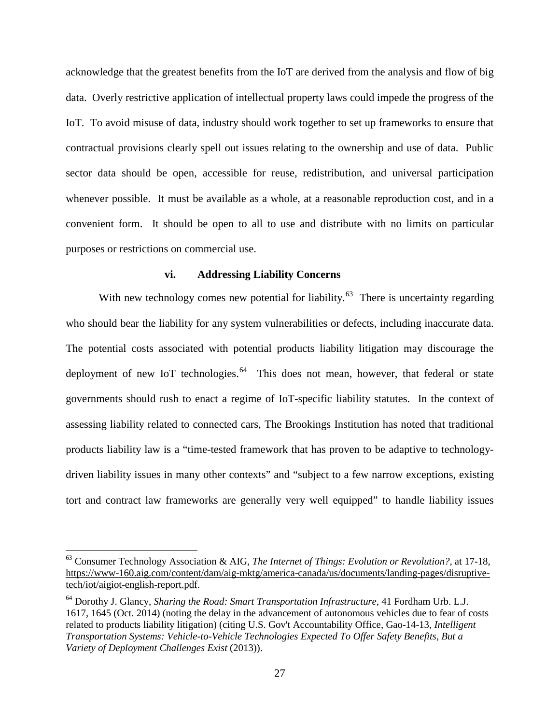acknowledge that the greatest benefits from the IoT are derived from the analysis and flow of big data. Overly restrictive application of intellectual property laws could impede the progress of the IoT. To avoid misuse of data, industry should work together to set up frameworks to ensure that contractual provisions clearly spell out issues relating to the ownership and use of data. Public sector data should be open, accessible for reuse, redistribution, and universal participation whenever possible. It must be available as a whole, at a reasonable reproduction cost, and in a convenient form. It should be open to all to use and distribute with no limits on particular purposes or restrictions on commercial use.

#### **vi. Addressing Liability Concerns**

With new technology comes new potential for liability.<sup>[63](#page-26-0)</sup> There is uncertainty regarding who should bear the liability for any system vulnerabilities or defects, including inaccurate data. The potential costs associated with potential products liability litigation may discourage the deployment of new IoT technologies. $64$  This does not mean, however, that federal or state governments should rush to enact a regime of IoT-specific liability statutes. In the context of assessing liability related to connected cars, The Brookings Institution has noted that traditional products liability law is a "time-tested framework that has proven to be adaptive to technologydriven liability issues in many other contexts" and "subject to a few narrow exceptions, existing tort and contract law frameworks are generally very well equipped" to handle liability issues

<span id="page-26-0"></span> <sup>63</sup> Consumer Technology Association & AIG, *The Internet of Things: Evolution or Revolution?*, at 17-18, [https://www-160.aig.com/content/dam/aig-mktg/america-canada/us/documents/landing-pages/disruptive](https://www-160.aig.com/content/dam/aig-mktg/america-canada/us/documents/landing-pages/disruptive-tech/iot/aigiot-english-report.pdf)[tech/iot/aigiot-english-report.pdf.](https://www-160.aig.com/content/dam/aig-mktg/america-canada/us/documents/landing-pages/disruptive-tech/iot/aigiot-english-report.pdf)

<span id="page-26-1"></span><sup>64</sup> Dorothy J. Glancy, *Sharing the Road: Smart Transportation Infrastructure*, 41 Fordham Urb. L.J. 1617, 1645 (Oct. 2014) (noting the delay in the advancement of autonomous vehicles due to fear of costs related to products liability litigation) (citing U.S. Gov't Accountability Office, Gao-14-13, *Intelligent Transportation Systems: Vehicle-to-Vehicle Technologies Expected To Offer Safety Benefits, But a Variety of Deployment Challenges Exist* (2013)).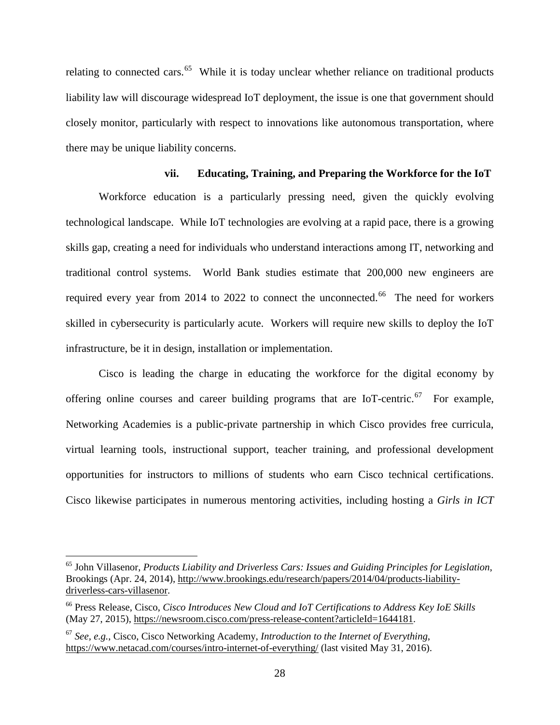relating to connected cars.<sup>65</sup> While it is today unclear whether reliance on traditional products liability law will discourage widespread IoT deployment, the issue is one that government should closely monitor, particularly with respect to innovations like autonomous transportation, where there may be unique liability concerns.

# **vii. Educating, Training, and Preparing the Workforce for the IoT**

Workforce education is a particularly pressing need, given the quickly evolving technological landscape. While IoT technologies are evolving at a rapid pace, there is a growing skills gap, creating a need for individuals who understand interactions among IT, networking and traditional control systems. World Bank studies estimate that 200,000 new engineers are required every year from 2014 to 2022 to connect the unconnected.<sup>[66](#page-27-1)</sup> The need for workers skilled in cybersecurity is particularly acute. Workers will require new skills to deploy the IoT infrastructure, be it in design, installation or implementation.

Cisco is leading the charge in educating the workforce for the digital economy by offering online courses and career building programs that are IoT-centric.<sup>67</sup> For example, Networking Academies is a public-private partnership in which Cisco provides free curricula, virtual learning tools, instructional support, teacher training, and professional development opportunities for instructors to millions of students who earn Cisco technical certifications. Cisco likewise participates in numerous mentoring activities, including hosting a *Girls in ICT* 

<span id="page-27-0"></span> <sup>65</sup> John Villasenor, *Products Liability and Driverless Cars: Issues and Guiding Principles for Legislation*, Brookings (Apr. 24, 2014), [http://www.brookings.edu/research/papers/2014/04/products-liability](http://www.brookings.edu/research/papers/2014/04/products-liability-driverless-cars-villasenor)[driverless-cars-villasenor.](http://www.brookings.edu/research/papers/2014/04/products-liability-driverless-cars-villasenor)

<span id="page-27-1"></span><sup>66</sup> Press Release, Cisco, *Cisco Introduces New Cloud and IoT Certifications to Address Key IoE Skills* (May 27, 2015), [https://newsroom.cisco.com/press-release-content?articleId=1644181.](https://newsroom.cisco.com/press-release-content?articleId=1644181)

<span id="page-27-2"></span><sup>67</sup> *See, e.g.*, Cisco, Cisco Networking Academy, *Introduction to the Internet of Everything*, <https://www.netacad.com/courses/intro-internet-of-everything/> (last visited May 31, 2016).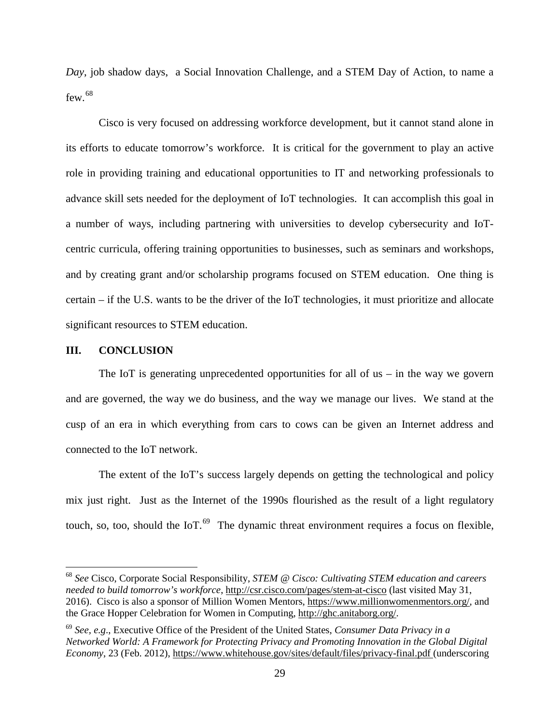*Day*, job shadow days, a Social Innovation Challenge, and a STEM Day of Action, to name a few.<sup>[68](#page-28-0)</sup>

Cisco is very focused on addressing workforce development, but it cannot stand alone in its efforts to educate tomorrow's workforce. It is critical for the government to play an active role in providing training and educational opportunities to IT and networking professionals to advance skill sets needed for the deployment of IoT technologies. It can accomplish this goal in a number of ways, including partnering with universities to develop cybersecurity and IoTcentric curricula, offering training opportunities to businesses, such as seminars and workshops, and by creating grant and/or scholarship programs focused on STEM education. One thing is certain – if the U.S. wants to be the driver of the IoT technologies, it must prioritize and allocate significant resources to STEM education.

#### **III. CONCLUSION**

The IoT is generating unprecedented opportunities for all of us  $-$  in the way we govern and are governed, the way we do business, and the way we manage our lives. We stand at the cusp of an era in which everything from cars to cows can be given an Internet address and connected to the IoT network.

The extent of the IoT's success largely depends on getting the technological and policy mix just right. Just as the Internet of the 1990s flourished as the result of a light regulatory touch, so, too, should the IoT. $^{69}$  The dynamic threat environment requires a focus on flexible,

<span id="page-28-0"></span> <sup>68</sup> *See* Cisco, Corporate Social Responsibility, *STEM @ Cisco: Cultivating STEM education and careers needed to build tomorrow's workforce*,<http://csr.cisco.com/pages/stem-at-cisco> (last visited May 31, 2016). Cisco is also a sponsor of Million Women Mentors, [https://www.millionwomenmentors.org/,](https://www.millionwomenmentors.org/) and the Grace Hopper Celebration for Women in Computing, [http://ghc.anitaborg.org/.](http://ghc.anitaborg.org/)

<span id="page-28-1"></span><sup>69</sup> *See, e.g*., Executive Office of the President of the United States, *Consumer Data Privacy in a Networked World: A Framework for Protecting Privacy and Promoting Innovation in the Global Digital Economy*, 23 (Feb. 2012), <https://www.whitehouse.gov/sites/default/files/privacy-final.pdf> (underscoring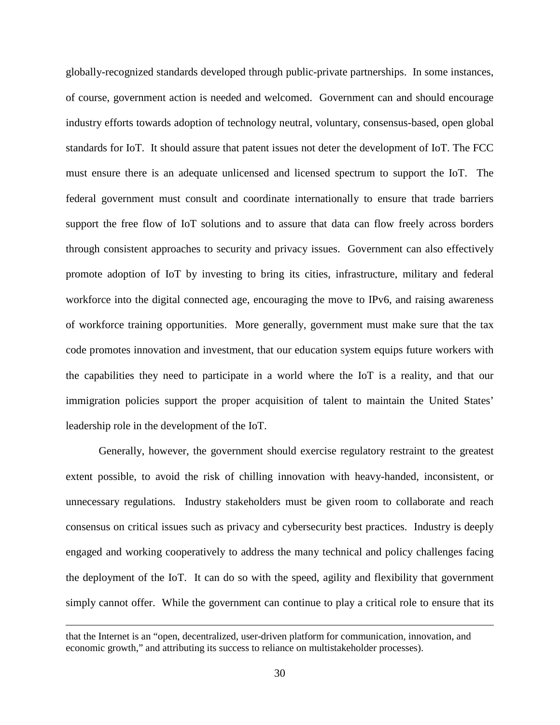globally-recognized standards developed through public-private partnerships. In some instances, of course, government action is needed and welcomed. Government can and should encourage industry efforts towards adoption of technology neutral, voluntary, consensus-based, open global standards for IoT. It should assure that patent issues not deter the development of IoT. The FCC must ensure there is an adequate unlicensed and licensed spectrum to support the IoT. The federal government must consult and coordinate internationally to ensure that trade barriers support the free flow of IoT solutions and to assure that data can flow freely across borders through consistent approaches to security and privacy issues. Government can also effectively promote adoption of IoT by investing to bring its cities, infrastructure, military and federal workforce into the digital connected age, encouraging the move to IPv6, and raising awareness of workforce training opportunities. More generally, government must make sure that the tax code promotes innovation and investment, that our education system equips future workers with the capabilities they need to participate in a world where the IoT is a reality, and that our immigration policies support the proper acquisition of talent to maintain the United States' leadership role in the development of the IoT.

Generally, however, the government should exercise regulatory restraint to the greatest extent possible, to avoid the risk of chilling innovation with heavy-handed, inconsistent, or unnecessary regulations. Industry stakeholders must be given room to collaborate and reach consensus on critical issues such as privacy and cybersecurity best practices. Industry is deeply engaged and working cooperatively to address the many technical and policy challenges facing the deployment of the IoT. It can do so with the speed, agility and flexibility that government simply cannot offer. While the government can continue to play a critical role to ensure that its

 $\overline{a}$ 

that the Internet is an "open, decentralized, user-driven platform for communication, innovation, and economic growth," and attributing its success to reliance on multistakeholder processes).